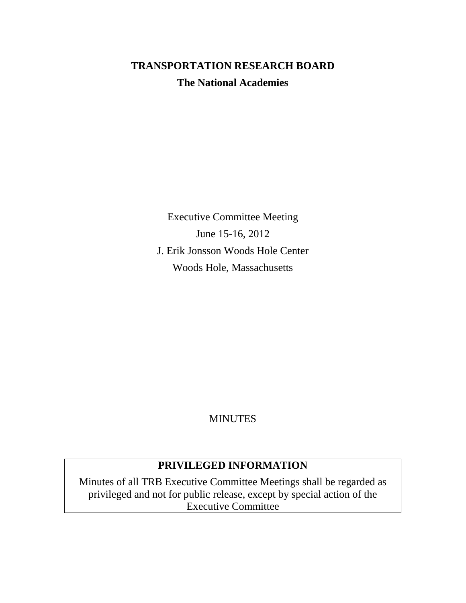# **TRANSPORTATION RESEARCH BOARD The National Academies**

Executive Committee Meeting June 15-16, 2012 J. Erik Jonsson Woods Hole Center Woods Hole, Massachusetts

# **MINUTES**

# **PRIVILEGED INFORMATION**

Minutes of all TRB Executive Committee Meetings shall be regarded as privileged and not for public release, except by special action of the Executive Committee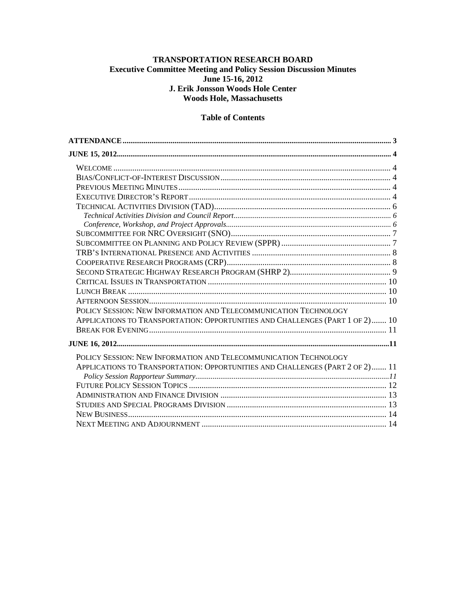# **TRANSPORTATION RESEARCH BOARD Executive Committee Meeting and Policy Session Discussion Minutes June 15-16, 2012 J. Erik Jonsson Woods Hole Center Woods Hole, Massachusetts**

# **Table of Contents**

| POLICY SESSION: NEW INFORMATION AND TELECOMMUNICATION TECHNOLOGY              |  |
|-------------------------------------------------------------------------------|--|
| APPLICATIONS TO TRANSPORTATION: OPPORTUNITIES AND CHALLENGES (PART 1 OF 2) 10 |  |
|                                                                               |  |
|                                                                               |  |
| POLICY SESSION: NEW INFORMATION AND TELECOMMUNICATION TECHNOLOGY              |  |
| APPLICATIONS TO TRANSPORTATION: OPPORTUNITIES AND CHALLENGES (PART 2 OF 2) 11 |  |
|                                                                               |  |
|                                                                               |  |
|                                                                               |  |
|                                                                               |  |
|                                                                               |  |
|                                                                               |  |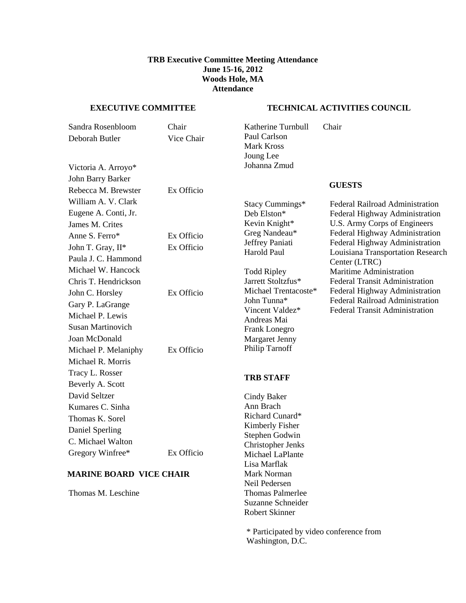#### **TRB Executive Committee Meeting Attendance June 15-16, 2012 Woods Hole, MA Attendance**

#### <span id="page-2-0"></span>**EXECUTIVE COMMITTEE**

#### **TECHNICAL ACTIVITIES COUNCIL**

| Sandra Rosenbloom              | Chair      | Katherine Turnbull                    | Chair                                              |
|--------------------------------|------------|---------------------------------------|----------------------------------------------------|
| Deborah Butler                 | Vice Chair | Paul Carlson                          |                                                    |
|                                |            | <b>Mark Kross</b>                     |                                                    |
|                                |            | Joung Lee                             |                                                    |
| Victoria A. Arroyo*            |            | Johanna Zmud                          |                                                    |
| John Barry Barker              |            |                                       | <b>GUESTS</b>                                      |
| Rebecca M. Brewster            | Ex Officio |                                       |                                                    |
| William A. V. Clark            |            | Stacy Cummings*                       | Federal Railroad Administration                    |
| Eugene A. Conti, Jr.           |            | Deb Elston*                           | Federal Highway Administration                     |
| James M. Crites                |            | Kevin Knight*                         | U.S. Army Corps of Engineers                       |
| Anne S. Ferro*                 | Ex Officio | Greg Nandeau*                         | Federal Highway Administration                     |
| John T. Gray, II*              | Ex Officio | Jeffrey Paniati<br><b>Harold Paul</b> | Federal Highway Administration                     |
| Paula J. C. Hammond            |            |                                       | Louisiana Transportation Research<br>Center (LTRC) |
| Michael W. Hancock             |            | <b>Todd Ripley</b>                    | Maritime Administration                            |
| Chris T. Hendrickson           |            | Jarrett Stoltzfus*                    | <b>Federal Transit Administration</b>              |
| John C. Horsley                | Ex Officio | Michael Trentacoste*                  | Federal Highway Administration                     |
| Gary P. LaGrange               |            | John Tunna*                           | <b>Federal Railroad Administration</b>             |
| Michael P. Lewis               |            | Vincent Valdez*                       | <b>Federal Transit Administration</b>              |
| <b>Susan Martinovich</b>       |            | Andreas Mai<br>Frank Lonegro          |                                                    |
| Joan McDonald                  |            | <b>Margaret Jenny</b>                 |                                                    |
| Michael P. Melaniphy           | Ex Officio | Philip Tarnoff                        |                                                    |
| Michael R. Morris              |            |                                       |                                                    |
| Tracy L. Rosser                |            |                                       |                                                    |
| Beverly A. Scott               |            | <b>TRB STAFF</b>                      |                                                    |
| David Seltzer                  |            | <b>Cindy Baker</b>                    |                                                    |
| Kumares C. Sinha               |            | Ann Brach                             |                                                    |
| Thomas K. Sorel                |            | Richard Cunard*                       |                                                    |
| Daniel Sperling                |            | Kimberly Fisher                       |                                                    |
| C. Michael Walton              |            | Stephen Godwin                        |                                                    |
| Gregory Winfree*               | Ex Officio | Christopher Jenks                     |                                                    |
|                                |            | Michael LaPlante<br>Lisa Marflak      |                                                    |
| <b>MARINE BOARD VICE CHAIR</b> |            | Mark Norman                           |                                                    |
|                                |            | Neil Pedersen                         |                                                    |
| Thomas M. Leschine             |            | <b>Thomas Palmerlee</b>               |                                                    |
|                                |            | Suzanne Schneider                     |                                                    |
|                                |            | <b>Robert Skinner</b>                 |                                                    |

\* Participated by video conference from Washington, D.C.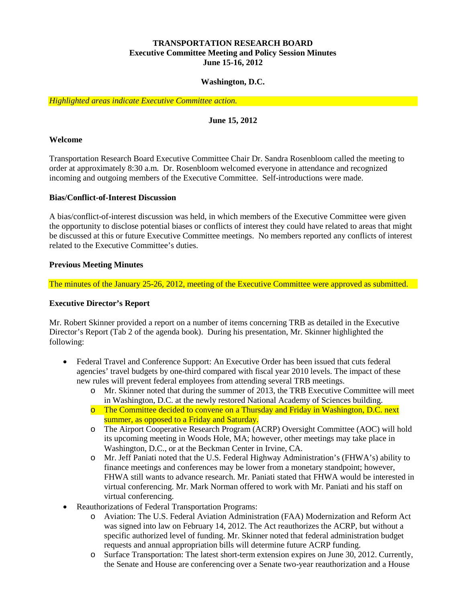# **TRANSPORTATION RESEARCH BOARD Executive Committee Meeting and Policy Session Minutes June 15-16, 2012**

# **Washington, D.C.**

<span id="page-3-0"></span>*Highlighted areas indicate Executive Committee action.*

# **June 15, 2012**

#### <span id="page-3-1"></span>**Welcome**

Transportation Research Board Executive Committee Chair Dr. Sandra Rosenbloom called the meeting to order at approximately 8:30 a.m. Dr. Rosenbloom welcomed everyone in attendance and recognized incoming and outgoing members of the Executive Committee. Self-introductions were made.

#### <span id="page-3-2"></span>**Bias/Conflict-of-Interest Discussion**

A bias/conflict-of-interest discussion was held, in which members of the Executive Committee were given the opportunity to disclose potential biases or conflicts of interest they could have related to areas that might be discussed at this or future Executive Committee meetings. No members reported any conflicts of interest related to the Executive Committee's duties.

#### <span id="page-3-3"></span>**Previous Meeting Minutes**

The minutes of the January 25-26, 2012, meeting of the Executive Committee were approved as submitted.

#### <span id="page-3-4"></span>**Executive Director's Report**

Mr. Robert Skinner provided a report on a number of items concerning TRB as detailed in the Executive Director's Report (Tab 2 of the agenda book). During his presentation, Mr. Skinner highlighted the following:

- Federal Travel and Conference Support: An Executive Order has been issued that cuts federal agencies' travel budgets by one-third compared with fiscal year 2010 levels. The impact of these new rules will prevent federal employees from attending several TRB meetings.
	- o Mr. Skinner noted that during the summer of 2013, the TRB Executive Committee will meet in Washington, D.C. at the newly restored National Academy of Sciences building.
	- o The Committee decided to convene on a Thursday and Friday in Washington, D.C. next summer, as opposed to a Friday and Saturday.
	- o The Airport Cooperative Research Program (ACRP) Oversight Committee (AOC) will hold its upcoming meeting in Woods Hole, MA; however, other meetings may take place in Washington, D.C., or at the Beckman Center in Irvine, CA.
	- o Mr. Jeff Paniati noted that the U.S. Federal Highway Administration's (FHWA's) ability to finance meetings and conferences may be lower from a monetary standpoint; however, FHWA still wants to advance research. Mr. Paniati stated that FHWA would be interested in virtual conferencing. Mr. Mark Norman offered to work with Mr. Paniati and his staff on virtual conferencing.
- Reauthorizations of Federal Transportation Programs:
	- o Aviation: The U.S. Federal Aviation Administration (FAA) Modernization and Reform Act was signed into law on February 14, 2012. The Act reauthorizes the ACRP, but without a specific authorized level of funding. Mr. Skinner noted that federal administration budget requests and annual appropriation bills will determine future ACRP funding.
	- o Surface Transportation: The latest short-term extension expires on June 30, 2012. Currently, the Senate and House are conferencing over a Senate two-year reauthorization and a House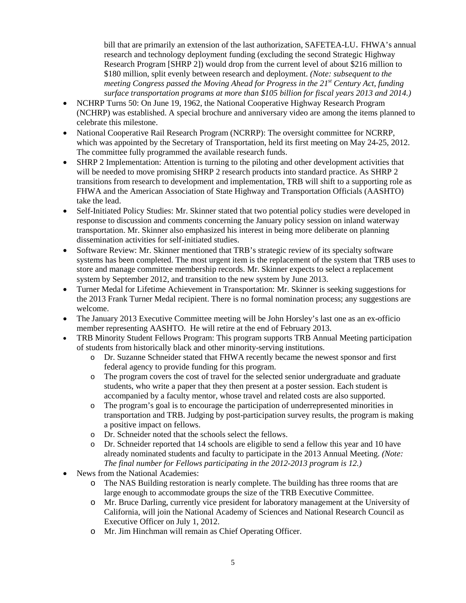bill that are primarily an extension of the last authorization, SAFETEA-LU. FHWA's annual research and technology deployment funding (excluding the second Strategic Highway Research Program [SHRP 2]) would drop from the current level of about \$216 million to \$180 million, split evenly between research and deployment. *(Note: subsequent to the meeting Congress passed the Moving Ahead for Progress in the 21<sup>st</sup> Century Act, funding surface transportation programs at more than \$105 billion for fiscal years 2013 and 2014.)*

- NCHRP Turns 50: On June 19, 1962, the National Cooperative Highway Research Program (NCHRP) was established. A special brochure and anniversary video are among the items planned to celebrate this milestone.
- National Cooperative Rail Research Program (NCRRP): The oversight committee for NCRRP, which was appointed by the Secretary of Transportation, held its first meeting on May 24-25, 2012. The committee fully programmed the available research funds.
- SHRP 2 Implementation: Attention is turning to the piloting and other development activities that will be needed to move promising SHRP 2 research products into standard practice. As SHRP 2 transitions from research to development and implementation, TRB will shift to a supporting role as FHWA and the American Association of State Highway and Transportation Officials (AASHTO) take the lead.
- Self-Initiated Policy Studies: Mr. Skinner stated that two potential policy studies were developed in response to discussion and comments concerning the January policy session on inland waterway transportation. Mr. Skinner also emphasized his interest in being more deliberate on planning dissemination activities for self-initiated studies.
- Software Review: Mr. Skinner mentioned that TRB's strategic review of its specialty software systems has been completed. The most urgent item is the replacement of the system that TRB uses to store and manage committee membership records. Mr. Skinner expects to select a replacement system by September 2012, and transition to the new system by June 2013.
- Turner Medal for Lifetime Achievement in Transportation: Mr. Skinner is seeking suggestions for the 2013 Frank Turner Medal recipient. There is no formal nomination process; any suggestions are welcome.
- The January 2013 Executive Committee meeting will be John Horsley's last one as an ex-officio member representing AASHTO. He will retire at the end of February 2013.
- TRB Minority Student Fellows Program: This program supports TRB Annual Meeting participation of students from historically black and other minority-serving institutions.
	- o Dr. Suzanne Schneider stated that FHWA recently became the newest sponsor and first federal agency to provide funding for this program.
	- o The program covers the cost of travel for the selected senior undergraduate and graduate students, who write a paper that they then present at a poster session. Each student is accompanied by a faculty mentor, whose travel and related costs are also supported.
	- o The program's goal is to encourage the participation of underrepresented minorities in transportation and TRB. Judging by post-participation survey results, the program is making a positive impact on fellows.
	- o Dr. Schneider noted that the schools select the fellows.
	- o Dr. Schneider reported that 14 schools are eligible to send a fellow this year and 10 have already nominated students and faculty to participate in the 2013 Annual Meeting. *(Note: The final number for Fellows participating in the 2012-2013 program is 12.)*
- News from the National Academies:
	- o The NAS Building restoration is nearly complete. The building has three rooms that are large enough to accommodate groups the size of the TRB Executive Committee.
	- o Mr. Bruce Darling, currently vice president for laboratory management at the University of California, will join the National Academy of Sciences and National Research Council as Executive Officer on July 1, 2012.
	- o Mr. Jim Hinchman will remain as Chief Operating Officer.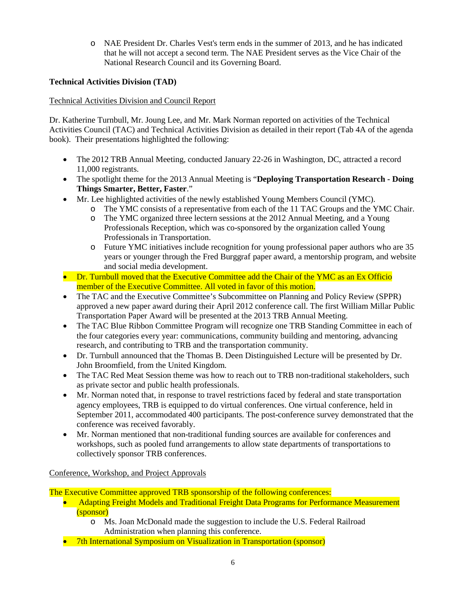o NAE President Dr. Charles Vest's term ends in the summer of 2013, and he has indicated that he will not accept a second term. The NAE President serves as the Vice Chair of the National Research Council and its Governing Board.

# <span id="page-5-0"></span>**Technical Activities Division (TAD)**

# <span id="page-5-1"></span>Technical Activities Division and Council Report

Dr. Katherine Turnbull, Mr. Joung Lee, and Mr. Mark Norman reported on activities of the Technical Activities Council (TAC) and Technical Activities Division as detailed in their report (Tab 4A of the agenda book). Their presentations highlighted the following:

- The 2012 TRB Annual Meeting, conducted January 22-26 in Washington, DC, attracted a record 11,000 registrants.
- The spotlight theme for the 2013 Annual Meeting is "**Deploying Transportation Research - Doing Things Smarter, Better, Faster**."
- Mr. Lee highlighted activities of the newly established Young Members Council (YMC).
	- o The YMC consists of a representative from each of the 11 TAC Groups and the YMC Chair.
	- o The YMC organized three lectern sessions at the 2012 Annual Meeting, and a Young Professionals Reception, which was co-sponsored by the organization called Young Professionals in Transportation.
	- o Future YMC initiatives include recognition for young professional paper authors who are 35 years or younger through the Fred Burggraf paper award, a mentorship program, and website and social media development.
- Dr. Turnbull moved that the Executive Committee add the Chair of the YMC as an Ex Officio member of the Executive Committee. All voted in favor of this motion.
- The TAC and the Executive Committee's Subcommittee on Planning and Policy Review (SPPR) approved a new paper award during their April 2012 conference call. The first William Millar Public Transportation Paper Award will be presented at the 2013 TRB Annual Meeting.
- The TAC Blue Ribbon Committee Program will recognize one TRB Standing Committee in each of the four categories every year: communications, community building and mentoring, advancing research, and contributing to TRB and the transportation community.
- Dr. Turnbull announced that the Thomas B. Deen Distinguished Lecture will be presented by Dr. John Broomfield, from the United Kingdom.
- The TAC Red Meat Session theme was how to reach out to TRB non-traditional stakeholders, such as private sector and public health professionals.
- Mr. Norman noted that, in response to travel restrictions faced by federal and state transportation agency employees, TRB is equipped to do virtual conferences. One virtual conference, held in September 2011, accommodated 400 participants. The post-conference survey demonstrated that the conference was received favorably.
- Mr. Norman mentioned that non-traditional funding sources are available for conferences and workshops, such as pooled fund arrangements to allow state departments of transportations to collectively sponsor TRB conferences.

<span id="page-5-2"></span>Conference, Workshop, and Project Approvals

The Executive Committee approved TRB sponsorship of the following conferences:

- Adapting Freight Models and Traditional Freight Data Programs for Performance Measurement (sponsor)
	- o Ms. Joan McDonald made the suggestion to include the U.S. Federal Railroad Administration when planning this conference.
- 7th International Symposium on Visualization in Transportation (sponsor)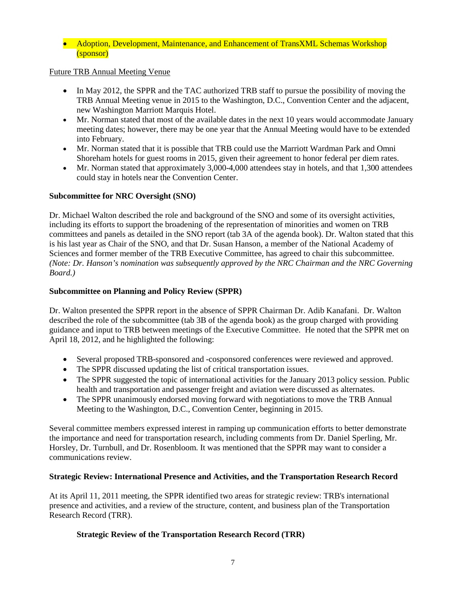#### • Adoption, Development, Maintenance, and Enhancement of TransXML Schemas Workshop (sponsor)

# Future TRB Annual Meeting Venue

- In May 2012, the SPPR and the TAC authorized TRB staff to pursue the possibility of moving the TRB Annual Meeting venue in 2015 to the Washington, D.C., Convention Center and the adjacent, new Washington Marriott Marquis Hotel.
- Mr. Norman stated that most of the available dates in the next 10 years would accommodate January meeting dates; however, there may be one year that the Annual Meeting would have to be extended into February.
- Mr. Norman stated that it is possible that TRB could use the Marriott Wardman Park and Omni Shoreham hotels for guest rooms in 2015, given their agreement to honor federal per diem rates.
- Mr. Norman stated that approximately 3,000-4,000 attendees stay in hotels, and that 1,300 attendees could stay in hotels near the Convention Center.

# <span id="page-6-0"></span>**Subcommittee for NRC Oversight (SNO)**

Dr. Michael Walton described the role and background of the SNO and some of its oversight activities, including its efforts to support the broadening of the representation of minorities and women on TRB committees and panels as detailed in the SNO report (tab 3A of the agenda book). Dr. Walton stated that this is his last year as Chair of the SNO, and that Dr. Susan Hanson, a member of the National Academy of Sciences and former member of the TRB Executive Committee, has agreed to chair this subcommittee. *(Note: Dr. Hanson's nomination was subsequently approved by the NRC Chairman and the NRC Governing Board.)*

# <span id="page-6-1"></span>**Subcommittee on Planning and Policy Review (SPPR)**

Dr. Walton presented the SPPR report in the absence of SPPR Chairman Dr. Adib Kanafani. Dr. Walton described the role of the subcommittee (tab 3B of the agenda book) as the group charged with providing guidance and input to TRB between meetings of the Executive Committee. He noted that the SPPR met on April 18, 2012, and he highlighted the following:

- Several proposed TRB-sponsored and -cosponsored conferences were reviewed and approved.
- The SPPR discussed updating the list of critical transportation issues.
- The SPPR suggested the topic of international activities for the January 2013 policy session. Public health and transportation and passenger freight and aviation were discussed as alternates.
- The SPPR unanimously endorsed moving forward with negotiations to move the TRB Annual Meeting to the Washington, D.C., Convention Center, beginning in 2015.

Several committee members expressed interest in ramping up communication efforts to better demonstrate the importance and need for transportation research, including comments from Dr. Daniel Sperling, Mr. Horsley, Dr. Turnbull, and Dr. Rosenbloom. It was mentioned that the SPPR may want to consider a communications review.

#### **Strategic Review: International Presence and Activities, and the Transportation Research Record**

At its April 11, 2011 meeting, the SPPR identified two areas for strategic review: TRB's international presence and activities, and a review of the structure, content, and business plan of the Transportation Research Record (TRR).

#### **Strategic Review of the Transportation Research Record (TRR)**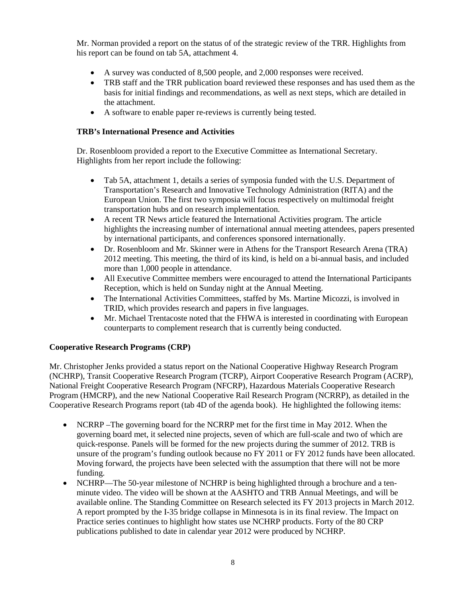Mr. Norman provided a report on the status of of the strategic review of the TRR. Highlights from his report can be found on tab 5A, attachment 4.

- A survey was conducted of 8,500 people, and 2,000 responses were received.
- TRB staff and the TRR publication board reviewed these responses and has used them as the basis for initial findings and recommendations, as well as next steps, which are detailed in the attachment.
- A software to enable paper re-reviews is currently being tested.

# <span id="page-7-0"></span>**TRB's International Presence and Activities**

Dr. Rosenbloom provided a report to the Executive Committee as International Secretary. Highlights from her report include the following:

- Tab 5A, attachment 1, details a series of symposia funded with the U.S. Department of Transportation's Research and Innovative Technology Administration (RITA) and the European Union. The first two symposia will focus respectively on multimodal freight transportation hubs and on research implementation.
- A recent TR News article featured the International Activities program. The article highlights the increasing number of international annual meeting attendees, papers presented by international participants, and conferences sponsored internationally.
- Dr. Rosenbloom and Mr. Skinner were in Athens for the Transport Research Arena (TRA) 2012 meeting. This meeting, the third of its kind, is held on a bi-annual basis, and included more than 1,000 people in attendance.
- All Executive Committee members were encouraged to attend the International Participants Reception, which is held on Sunday night at the Annual Meeting.
- The International Activities Committees, staffed by Ms. Martine Micozzi, is involved in TRID, which provides research and papers in five languages.
- Mr. Michael Trentacoste noted that the FHWA is interested in coordinating with European counterparts to complement research that is currently being conducted.

#### <span id="page-7-1"></span>**Cooperative Research Programs (CRP)**

Mr. Christopher Jenks provided a status report on the National Cooperative Highway Research Program (NCHRP), Transit Cooperative Research Program (TCRP), Airport Cooperative Research Program (ACRP), National Freight Cooperative Research Program (NFCRP), Hazardous Materials Cooperative Research Program (HMCRP), and the new National Cooperative Rail Research Program (NCRRP), as detailed in the Cooperative Research Programs report (tab 4D of the agenda book). He highlighted the following items:

- NCRRP –The governing board for the NCRRP met for the first time in May 2012. When the governing board met, it selected nine projects, seven of which are full-scale and two of which are quick-response. Panels will be formed for the new projects during the summer of 2012. TRB is unsure of the program's funding outlook because no FY 2011 or FY 2012 funds have been allocated. Moving forward, the projects have been selected with the assumption that there will not be more funding.
- NCHRP—The 50-year milestone of NCHRP is being highlighted through a brochure and a tenminute video. The video will be shown at the AASHTO and TRB Annual Meetings, and will be available online. The Standing Committee on Research selected its FY 2013 projects in March 2012. A report prompted by the I-35 bridge collapse in Minnesota is in its final review. The Impact on Practice series continues to highlight how states use NCHRP products. Forty of the 80 CRP publications published to date in calendar year 2012 were produced by NCHRP.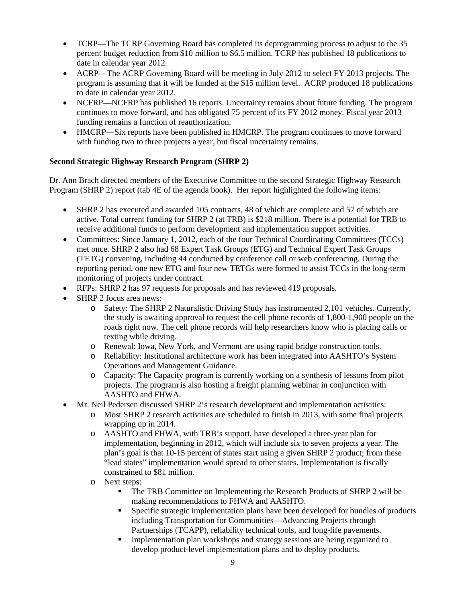- TCRP—The TCRP Governing Board has completed its deprogramming process to adjust to the 35 percent budget reduction from \$10 million to \$6.5 million. TCRP has published 18 publications to date in calendar year 2012.
- ACRP—The ACRP Governing Board will be meeting in July 2012 to select FY 2013 projects. The program is assuming that it will be funded at the \$15 million level. ACRP produced 18 publications to date in calendar year 2012.
- NCFRP—NCFRP has published 16 reports. Uncertainty remains about future funding. The program continues to move forward, and has obligated 75 percent of its FY 2012 money. Fiscal year 2013 funding remains a function of reauthorization.
- HMCRP—Six reports have been published in HMCRP. The program continues to move forward with funding two to three projects a year, but fiscal uncertainty remains.

# <span id="page-8-0"></span>**Second Strategic Highway Research Program (SHRP 2)**

Dr. Ann Brach directed members of the Executive Committee to the second Strategic Highway Research Program (SHRP 2) report (tab 4E of the agenda book). Her report highlighted the following items:

- SHRP 2 has executed and awarded 105 contracts, 48 of which are complete and 57 of which are active. Total current funding for SHRP 2 (at TRB) is \$218 million. There is a potential for TRB to receive additional funds to perform development and implementation support activities.
- Committees: Since January 1, 2012, each of the four Technical Coordinating Committees (TCCs) met once. SHRP 2 also had 68 Expert Task Groups (ETG) and Technical Expert Task Groups (TETG) convening, including 44 conducted by conference call or web conferencing. During the reporting period, one new ETG and four new TETGs were formed to assist TCCs in the long-term monitoring of projects under contract.
- RFPs: SHRP 2 has 97 requests for proposals and has reviewed 419 proposals.
- SHRP 2 focus area news:
	- o Safety: The SHRP 2 Naturalistic Driving Study has instrumented 2,101 vehicles. Currently, the study is awaiting approval to request the cell phone records of 1,800-1,900 people on the roads right now. The cell phone records will help researchers know who is placing calls or texting while driving.
	- o Renewal: Iowa, New York, and Vermont are using rapid bridge construction tools.
	- o Reliability: Institutional architecture work has been integrated into AASHTO's System Operations and Management Guidance.
	- o Capacity: The Capacity program is currently working on a synthesis of lessons from pilot projects. The program is also hosting a freight planning webinar in conjunction with AASHTO and FHWA.
- Mr. Neil Pedersen discussed SHRP 2's research development and implementation activities:
	- o Most SHRP 2 research activities are scheduled to finish in 2013, with some final projects wrapping up in 2014.
	- o AASHTO and FHWA, with TRB's support, have developed a three-year plan for implementation, beginning in 2012, which will include six to seven projects a year. The plan's goal is that 10-15 percent of states start using a given SHRP 2 product; from these "lead states" implementation would spread to other states. Implementation is fiscally constrained to \$81 million.
	- o Next steps:<br>■ The
		- The TRB Committee on Implementing the Research Products of SHRP 2 will be making recommendations to FHWA and AASHTO.
		- Specific strategic implementation plans have been developed for bundles of products including Transportation for Communities—Advancing Projects through Partnerships (TCAPP), reliability technical tools, and long-life pavements.
		- **Implementation plan workshops and strategy sessions are being organized to** develop product-level implementation plans and to deploy products.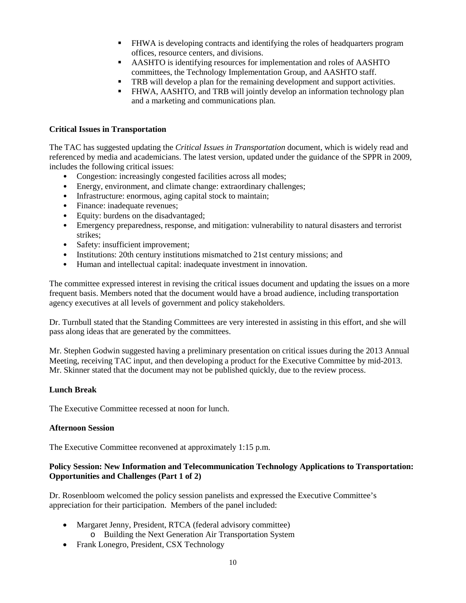- FHWA is developing contracts and identifying the roles of headquarters program offices, resource centers, and divisions.
- AASHTO is identifying resources for implementation and roles of AASHTO committees, the Technology Implementation Group, and AASHTO staff.
- **TRB** will develop a plan for the remaining development and support activities.
- FHWA, AASHTO, and TRB will jointly develop an information technology plan and a marketing and communications plan.

#### <span id="page-9-0"></span>**Critical Issues in Transportation**

The TAC has suggested updating the *Critical Issues in Transportation* document, which is widely read and referenced by media and academicians. The latest version, updated under the guidance of the SPPR in 2009, includes the following critical issues:

- Congestion: increasingly congested facilities across all modes;
- Energy, environment, and climate change: extraordinary challenges;
- Infrastructure: enormous, aging capital stock to maintain;
- Finance: inadequate revenues;
- Equity: burdens on the disadvantaged;
- Emergency preparedness, response, and mitigation: vulnerability to natural disasters and terrorist strikes;
- Safety: insufficient improvement;
- Institutions: 20th century institutions mismatched to 21st century missions; and
- Human and intellectual capital: inadequate investment in innovation.

The committee expressed interest in revising the critical issues document and updating the issues on a more frequent basis. Members noted that the document would have a broad audience, including transportation agency executives at all levels of government and policy stakeholders.

Dr. Turnbull stated that the Standing Committees are very interested in assisting in this effort, and she will pass along ideas that are generated by the committees.

Mr. Stephen Godwin suggested having a preliminary presentation on critical issues during the 2013 Annual Meeting, receiving TAC input, and then developing a product for the Executive Committee by mid-2013. Mr. Skinner stated that the document may not be published quickly, due to the review process.

# <span id="page-9-1"></span>**Lunch Break**

The Executive Committee recessed at noon for lunch.

#### <span id="page-9-2"></span>**Afternoon Session**

The Executive Committee reconvened at approximately 1:15 p.m.

#### <span id="page-9-3"></span>**Policy Session: New Information and Telecommunication Technology Applications to Transportation: Opportunities and Challenges (Part 1 of 2)**

Dr. Rosenbloom welcomed the policy session panelists and expressed the Executive Committee's appreciation for their participation. Members of the panel included:

- Margaret Jenny, President, RTCA (federal advisory committee)
	- o Building the Next Generation Air Transportation System
- Frank Lonegro, President, CSX Technology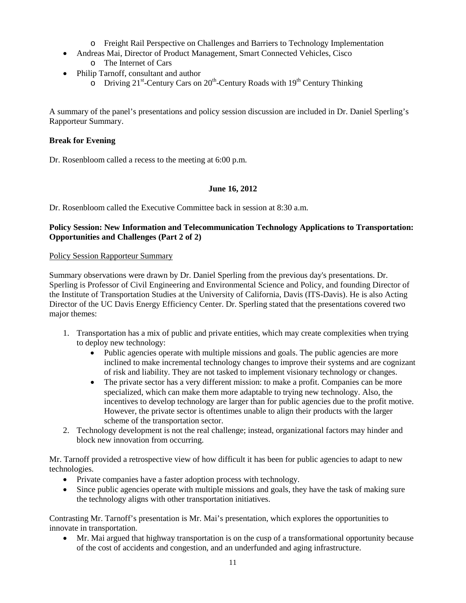- o Freight Rail Perspective on Challenges and Barriers to Technology Implementation
- Andreas Mai, Director of Product Management, Smart Connected Vehicles, Cisco o The Internet of Cars
- Philip Tarnoff, consultant and author
	- $\overline{O}$  Driving 21<sup>st</sup>-Century Cars on 20<sup>th</sup>-Century Roads with 19<sup>th</sup> Century Thinking

A summary of the panel's presentations and policy session discussion are included in Dr. Daniel Sperling's Rapporteur Summary.

# <span id="page-10-0"></span>**Break for Evening**

Dr. Rosenbloom called a recess to the meeting at 6:00 p.m.

# **June 16, 2012**

<span id="page-10-1"></span>Dr. Rosenbloom called the Executive Committee back in session at 8:30 a.m.

# <span id="page-10-2"></span>**Policy Session: New Information and Telecommunication Technology Applications to Transportation: Opportunities and Challenges (Part 2 of 2)**

#### <span id="page-10-3"></span>Policy Session Rapporteur Summary

Summary observations were drawn by Dr. Daniel Sperling from the previous day's presentations. Dr. Sperling is Professor of Civil Engineering and Environmental Science and Policy, and founding Director of the Institute of Transportation Studies at the University of California, Davis (ITS-Davis). He is also Acting Director of the UC Davis Energy Efficiency Center. Dr. Sperling stated that the presentations covered two major themes:

- 1. Transportation has a mix of public and private entities, which may create complexities when trying to deploy new technology:
	- Public agencies operate with multiple missions and goals. The public agencies are more inclined to make incremental technology changes to improve their systems and are cognizant of risk and liability. They are not tasked to implement visionary technology or changes.
	- The private sector has a very different mission: to make a profit. Companies can be more specialized, which can make them more adaptable to trying new technology. Also, the incentives to develop technology are larger than for public agencies due to the profit motive. However, the private sector is oftentimes unable to align their products with the larger scheme of the transportation sector.
- 2. Technology development is not the real challenge; instead, organizational factors may hinder and block new innovation from occurring.

Mr. Tarnoff provided a retrospective view of how difficult it has been for public agencies to adapt to new technologies.

- Private companies have a faster adoption process with technology.
- Since public agencies operate with multiple missions and goals, they have the task of making sure the technology aligns with other transportation initiatives.

Contrasting Mr. Tarnoff's presentation is Mr. Mai's presentation, which explores the opportunities to innovate in transportation.

• Mr. Mai argued that highway transportation is on the cusp of a transformational opportunity because of the cost of accidents and congestion, and an underfunded and aging infrastructure.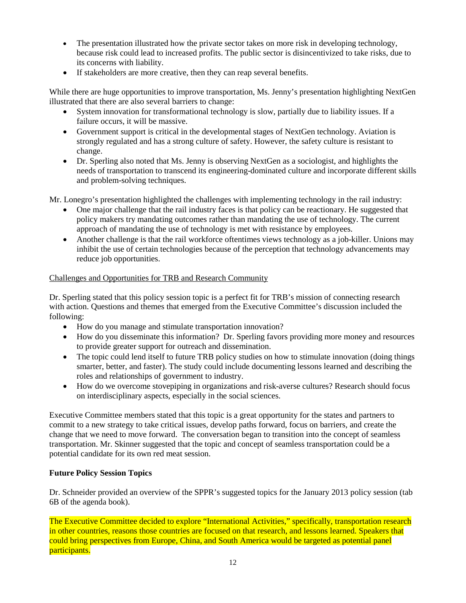- The presentation illustrated how the private sector takes on more risk in developing technology, because risk could lead to increased profits. The public sector is disincentivized to take risks, due to its concerns with liability.
- If stakeholders are more creative, then they can reap several benefits.

While there are huge opportunities to improve transportation, Ms. Jenny's presentation highlighting NextGen illustrated that there are also several barriers to change:

- System innovation for transformational technology is slow, partially due to liability issues. If a failure occurs, it will be massive.
- Government support is critical in the developmental stages of NextGen technology. Aviation is strongly regulated and has a strong culture of safety. However, the safety culture is resistant to change.
- Dr. Sperling also noted that Ms. Jenny is observing NextGen as a sociologist, and highlights the needs of transportation to transcend its engineering-dominated culture and incorporate different skills and problem-solving techniques.

Mr. Lonegro's presentation highlighted the challenges with implementing technology in the rail industry:

- One major challenge that the rail industry faces is that policy can be reactionary. He suggested that policy makers try mandating outcomes rather than mandating the use of technology. The current approach of mandating the use of technology is met with resistance by employees.
- Another challenge is that the rail workforce oftentimes views technology as a job-killer. Unions may inhibit the use of certain technologies because of the perception that technology advancements may reduce job opportunities.

#### Challenges and Opportunities for TRB and Research Community

Dr. Sperling stated that this policy session topic is a perfect fit for TRB's mission of connecting research with action. Questions and themes that emerged from the Executive Committee's discussion included the following:

- How do you manage and stimulate transportation innovation?
- How do you disseminate this information? Dr. Sperling favors providing more money and resources to provide greater support for outreach and dissemination.
- The topic could lend itself to future TRB policy studies on how to stimulate innovation (doing things smarter, better, and faster). The study could include documenting lessons learned and describing the roles and relationships of government to industry.
- How do we overcome stovepiping in organizations and risk-averse cultures? Research should focus on interdisciplinary aspects, especially in the social sciences.

Executive Committee members stated that this topic is a great opportunity for the states and partners to commit to a new strategy to take critical issues, develop paths forward, focus on barriers, and create the change that we need to move forward. The conversation began to transition into the concept of seamless transportation. Mr. Skinner suggested that the topic and concept of seamless transportation could be a potential candidate for its own red meat session.

#### <span id="page-11-0"></span>**Future Policy Session Topics**

Dr. Schneider provided an overview of the SPPR's suggested topics for the January 2013 policy session (tab 6B of the agenda book).

The Executive Committee decided to explore "International Activities," specifically, transportation research in other countries, reasons those countries are focused on that research, and lessons learned. Speakers that could bring perspectives from Europe, China, and South America would be targeted as potential panel participants.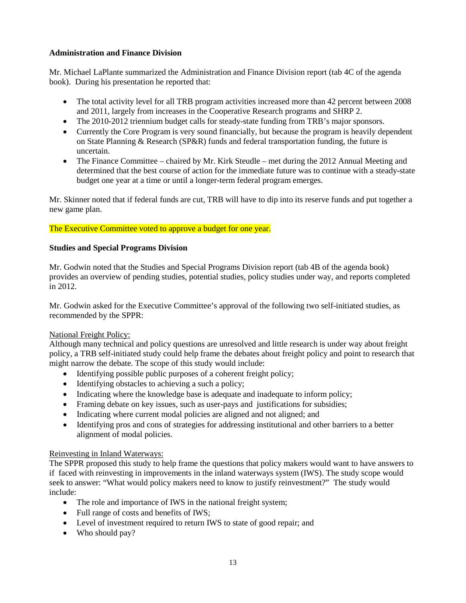# <span id="page-12-0"></span>**Administration and Finance Division**

Mr. Michael LaPlante summarized the Administration and Finance Division report (tab 4C of the agenda book). During his presentation he reported that:

- The total activity level for all TRB program activities increased more than 42 percent between 2008 and 2011, largely from increases in the Cooperative Research programs and SHRP 2.
- The 2010-2012 triennium budget calls for steady-state funding from TRB's major sponsors.
- Currently the Core Program is very sound financially, but because the program is heavily dependent on State Planning & Research (SP&R) funds and federal transportation funding, the future is uncertain.
- The Finance Committee chaired by Mr. Kirk Steudle met during the 2012 Annual Meeting and determined that the best course of action for the immediate future was to continue with a steady-state budget one year at a time or until a longer-term federal program emerges.

Mr. Skinner noted that if federal funds are cut, TRB will have to dip into its reserve funds and put together a new game plan.

# The Executive Committee voted to approve a budget for one year.

# <span id="page-12-1"></span>**Studies and Special Programs Division**

Mr. Godwin noted that the Studies and Special Programs Division report (tab 4B of the agenda book) provides an overview of pending studies, potential studies, policy studies under way, and reports completed in 2012.

Mr. Godwin asked for the Executive Committee's approval of the following two self-initiated studies, as recommended by the SPPR:

#### National Freight Policy:

Although many technical and policy questions are unresolved and little research is under way about freight policy, a TRB self-initiated study could help frame the debates about freight policy and point to research that might narrow the debate. The scope of this study would include:

- Identifying possible public purposes of a coherent freight policy;
- Identifying obstacles to achieving a such a policy;
- Indicating where the knowledge base is adequate and inadequate to inform policy;
- Framing debate on key issues, such as user-pays and justifications for subsidies;
- Indicating where current modal policies are aligned and not aligned; and
- Identifying pros and cons of strategies for addressing institutional and other barriers to a better alignment of modal policies.

#### Reinvesting in Inland Waterways:

The SPPR proposed this study to help frame the questions that policy makers would want to have answers to if faced with reinvesting in improvements in the inland waterways system (IWS). The study scope would seek to answer: "What would policy makers need to know to justify reinvestment?" The study would include:

- The role and importance of IWS in the national freight system;
- Full range of costs and benefits of IWS;
- Level of investment required to return IWS to state of good repair; and
- Who should pay?